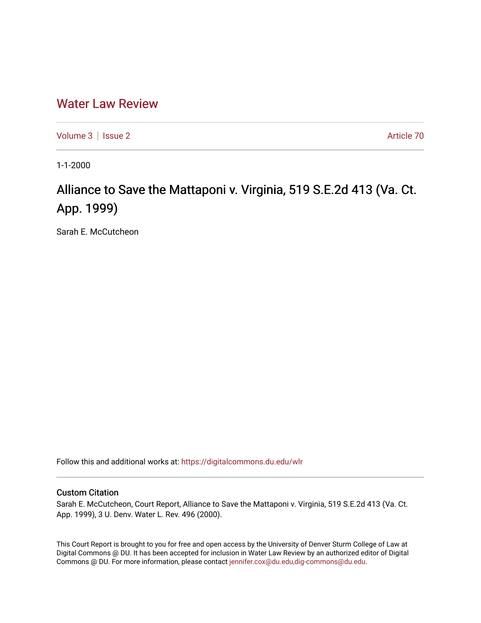## [Water Law Review](https://digitalcommons.du.edu/wlr)

[Volume 3](https://digitalcommons.du.edu/wlr/vol3) | [Issue 2](https://digitalcommons.du.edu/wlr/vol3/iss2) Article 70

1-1-2000

# Alliance to Save the Mattaponi v. Virginia, 519 S.E.2d 413 (Va. Ct. App. 1999)

Sarah E. McCutcheon

Follow this and additional works at: [https://digitalcommons.du.edu/wlr](https://digitalcommons.du.edu/wlr?utm_source=digitalcommons.du.edu%2Fwlr%2Fvol3%2Fiss2%2F70&utm_medium=PDF&utm_campaign=PDFCoverPages) 

#### Custom Citation

Sarah E. McCutcheon, Court Report, Alliance to Save the Mattaponi v. Virginia, 519 S.E.2d 413 (Va. Ct. App. 1999), 3 U. Denv. Water L. Rev. 496 (2000).

This Court Report is brought to you for free and open access by the University of Denver Sturm College of Law at Digital Commons @ DU. It has been accepted for inclusion in Water Law Review by an authorized editor of Digital Commons @ DU. For more information, please contact [jennifer.cox@du.edu,dig-commons@du.edu.](mailto:jennifer.cox@du.edu,dig-commons@du.edu)